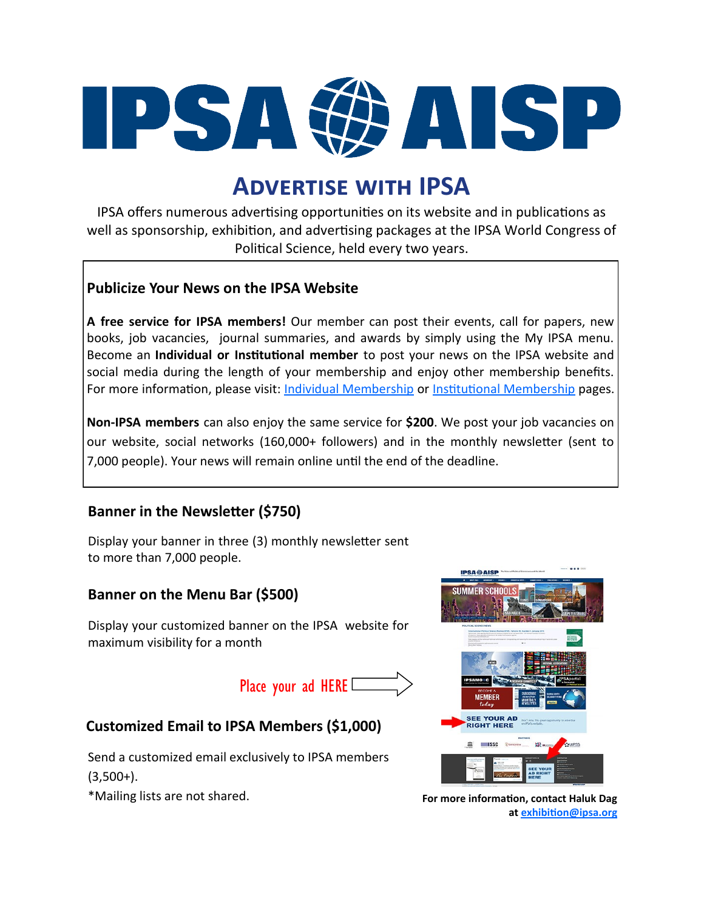

# **Advertise with IPSA**

IPSA offers numerous advertising opportunities on its website and in publications as well as sponsorship, exhibition, and advertising packages at the IPSA World Congress of Political Science, held every two years.

### **Publicize Your News on the IPSA Website**

**A free service for IPSA members!** Our member can post their events, call for papers, new books, job vacancies, journal summaries, and awards by simply using the My IPSA menu. Become an **Individual or Institutional member** to post your news on the IPSA website and social media during the length of your membership and enjoy other membership benefits. For more information, please visit: [Individual Membership](https://www.ipsa.org/page/individual-membership) or [Institutional Membership](https://www.ipsa.org/institutional) pages.

**Non-IPSA members** can also enjoy the same service for **\$200**. We post your job vacancies on our website, social networks (160,000+ followers) and in the monthly newsletter (sent to 7,000 people). Your news will remain online until the end of the deadline.

## **Banner in the Newsletter (\$750)**

Display your banner in three (3) monthly newsletter sent to more than 7,000 people.

## **Banner on the Menu Bar (\$500)**

Display your customized banner on the IPSA website for maximum visibility for a month

Place your ad HERE L

# **Customized Email to IPSA Members (\$1,000)**

Send a customized email exclusively to IPSA members  $(3,500+)$ .

\*Mailing lists are not shared. **For more information, contact Haluk Dag** 



**at [exhibition@ipsa.org](mailto:exhibition@ipsa.org)**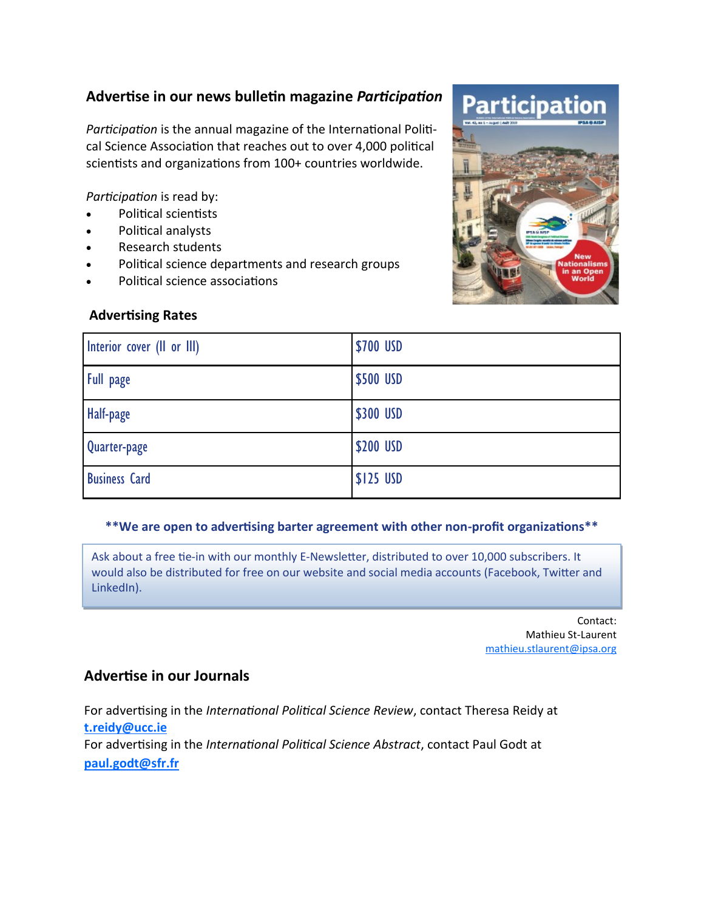## **Advertise in our news bulletin magazine** *Participation*

*Participation* is the annual magazine of the International Political Science Association that reaches out to over 4,000 political scientists and organizations from 100+ countries worldwide.

*Participation* is read by:

- Political scientists
- Political analysts
- Research students
- Political science departments and research groups
- Political science associations

#### **Advertising Rates**

| Interior cover (II or III) | \$700 USD |
|----------------------------|-----------|
| Full page                  | \$500 USD |
| Half-page                  | \$300 USD |
| Quarter-page               | \$200 USD |
| <b>Business Card</b>       | \$125 USD |

#### **\*\*We are open to advertising barter agreement with other non-profit organizations\*\***

Ask about a free tie-in with our monthly E-Newsletter, distributed to over 10,000 subscribers. It would also be distributed for free on our website and social media accounts (Facebook, Twitter and LinkedIn).

> Contact: Mathieu St-Laurent [mathieu.stlaurent@ipsa.org](mailto:mathieu.stlaurent@ipsa.org)

### **Advertise in our Journals**

For advertising in the *International Political Science Review*, contact Theresa Reidy at **[t.reidy@ucc.ie](mailto:t.reidy@ucc.ie)** For advertising in the *International Political Science Abstract*, contact Paul Godt at **[paul.godt@sfr.fr](mailto:paul.godt@sfr.fr)**

# Participat